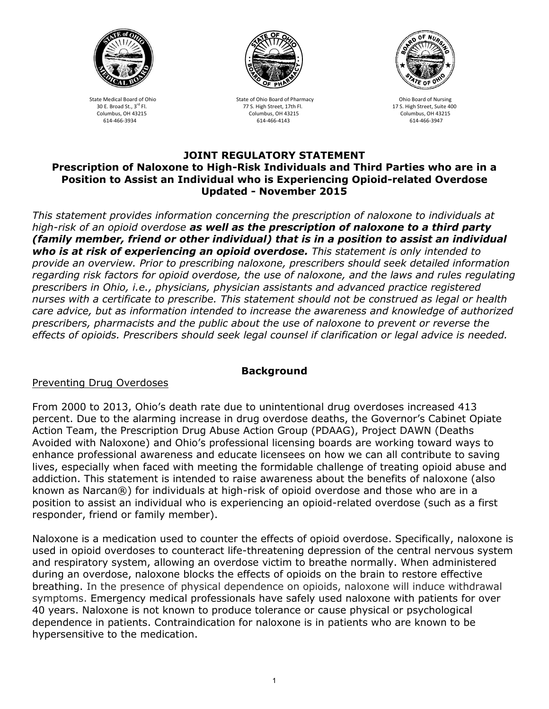



State Medical Board of Ohio State of Ohio Board of Pharmacy Chio Board of Nursing 30 E. Broad St., 3<sup>rd</sup> Fl. 175. High Street, 17th Fl. 175. High Street, 17th Fl. 17th Fl. 17th Fl. 17th Fl. 17th Fl<br>Columbus. OH 43215 Columbus. OH 43215 Columbus. OH 43215 Columbus. OH 43215 Columbus. OH 43215 Columbus, OH 43215 Columbus, OH 43215 Columbus, OH 43215 614-466-3934 614-466-4143 614-466-3947



#### **JOINT REGULATORY STATEMENT Prescription of Naloxone to High-Risk Individuals and Third Parties who are in a Position to Assist an Individual who is Experiencing Opioid-related Overdose Updated - November 2015**

*This statement provides information concerning the prescription of naloxone to individuals at high-risk of an opioid overdose as well as the prescription of naloxone to a third party (family member, friend or other individual) that is in a position to assist an individual who is at risk of experiencing an opioid overdose. This statement is only intended to provide an overview. Prior to prescribing naloxone, prescribers should seek detailed information regarding risk factors for opioid overdose, the use of naloxone, and the laws and rules regulating prescribers in Ohio, i.e., physicians, physician assistants and advanced practice registered nurses with a certificate to prescribe. This statement should not be construed as legal or health care advice, but as information intended to increase the awareness and knowledge of authorized prescribers, pharmacists and the public about the use of naloxone to prevent or reverse the effects of opioids. Prescribers should seek legal counsel if clarification or legal advice is needed.* 

## **Background**

## Preventing Drug Overdoses

From 2000 to 2013, Ohio's death rate due to unintentional drug overdoses increased 413 percent. Due to the alarming increase in drug overdose deaths, the Governor's Cabinet Opiate Action Team, the Prescription Drug Abuse Action Group (PDAAG), Project DAWN (Deaths Avoided with Naloxone) and Ohio's professional licensing boards are working toward ways to enhance professional awareness and educate licensees on how we can all contribute to saving lives, especially when faced with meeting the formidable challenge of treating opioid abuse and addiction. This statement is intended to raise awareness about the benefits of naloxone (also known as Narcan®) for individuals at high-risk of opioid overdose and those who are in a position to assist an individual who is experiencing an opioid-related overdose (such as a first responder, friend or family member).

Naloxone is a medication used to counter the effects of opioid overdose. Specifically, naloxone is used in opioid overdoses to counteract life-threatening depression of the central nervous system and respiratory system, allowing an overdose victim to breathe normally. When administered during an overdose, naloxone blocks the effects of opioids on the brain to restore effective breathing. In the presence of physical dependence on opioids, naloxone will induce withdrawal symptoms. Emergency medical professionals have safely used naloxone with patients for over 40 years. Naloxone is not known to produce tolerance or cause physical or psychological dependence in patients. Contraindication for naloxone is in patients who are known to be hypersensitive to the medication.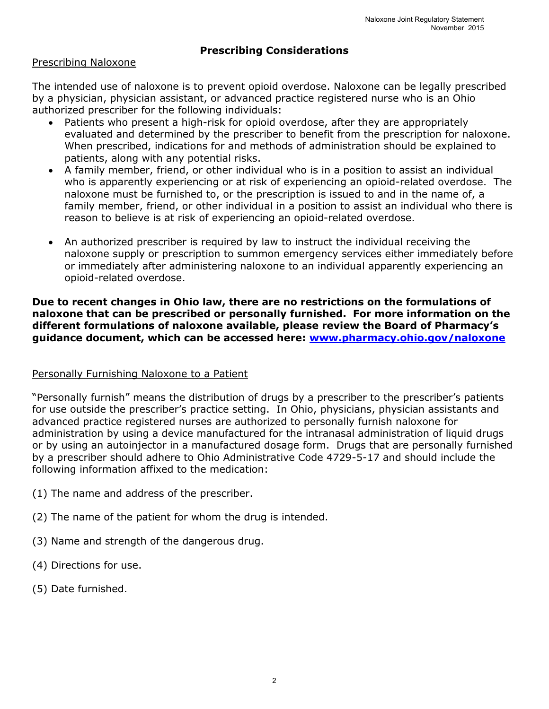# **Prescribing Considerations**

#### Prescribing Naloxone

The intended use of naloxone is to prevent opioid overdose. Naloxone can be legally prescribed by a physician, physician assistant, or advanced practice registered nurse who is an Ohio authorized prescriber for the following individuals:

- Patients who present a high-risk for opioid overdose, after they are appropriately evaluated and determined by the prescriber to benefit from the prescription for naloxone. When prescribed, indications for and methods of administration should be explained to patients, along with any potential risks.
- A family member, friend, or other individual who is in a position to assist an individual who is apparently experiencing or at risk of experiencing an opioid-related overdose. The naloxone must be furnished to, or the prescription is issued to and in the name of, a family member, friend, or other individual in a position to assist an individual who there is reason to believe is at risk of experiencing an opioid-related overdose.
- An authorized prescriber is required by law to instruct the individual receiving the naloxone supply or prescription to summon emergency services either immediately before or immediately after administering naloxone to an individual apparently experiencing an opioid-related overdose.

#### **Due to recent changes in Ohio law, there are no restrictions on the formulations of naloxone that can be prescribed or personally furnished. For more information on the different formulations of naloxone available, please review the Board of Pharmacy's guidance document, which can be accessed here: [www.pharmacy.ohio.gov/naloxone](http://www.pharmacy.ohio.gov/naloxone)**

## Personally Furnishing Naloxone to a Patient

"Personally furnish" means the distribution of drugs by a prescriber to the prescriber's patients for use outside the prescriber's practice setting. In Ohio, physicians, physician assistants and advanced practice registered nurses are authorized to personally furnish naloxone for administration by using a device manufactured for the intranasal administration of liquid drugs or by using an autoinjector in a manufactured dosage form. Drugs that are personally furnished by a prescriber should adhere to Ohio Administrative Code 4729-5-17 and should include the following information affixed to the medication:

- (1) The name and address of the prescriber.
- (2) The name of the patient for whom the drug is intended.
- (3) Name and strength of the dangerous drug.
- (4) Directions for use.
- (5) Date furnished.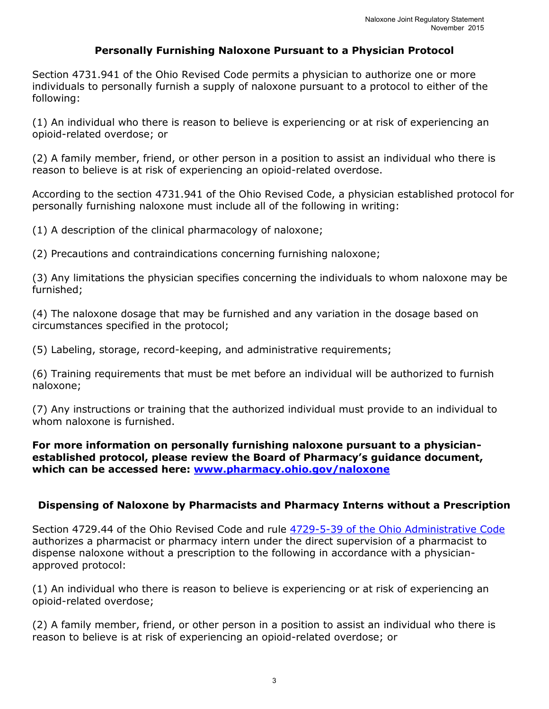## **Personally Furnishing Naloxone Pursuant to a Physician Protocol**

Section 4731.941 of the Ohio Revised Code permits a physician to authorize one or more individuals to personally furnish a supply of naloxone pursuant to a protocol to either of the following:

(1) An individual who there is reason to believe is experiencing or at risk of experiencing an opioid-related overdose; or

(2) A family member, friend, or other person in a position to assist an individual who there is reason to believe is at risk of experiencing an opioid-related overdose.

According to the section 4731.941 of the Ohio Revised Code, a physician established protocol for personally furnishing naloxone must include all of the following in writing:

(1) A description of the clinical pharmacology of naloxone;

(2) Precautions and contraindications concerning furnishing naloxone;

(3) Any limitations the physician specifies concerning the individuals to whom naloxone may be furnished;

(4) The naloxone dosage that may be furnished and any variation in the dosage based on circumstances specified in the protocol;

(5) Labeling, storage, record-keeping, and administrative requirements;

(6) Training requirements that must be met before an individual will be authorized to furnish naloxone;

(7) Any instructions or training that the authorized individual must provide to an individual to whom naloxone is furnished.

#### **For more information on personally furnishing naloxone pursuant to a physicianestablished protocol, please review the Board of Pharmacy's guidance document, which can be accessed here: [www.pharmacy.ohio.gov/naloxone](http://www.pharmacy.ohio.gov/naloxone)**

## **Dispensing of Naloxone by Pharmacists and Pharmacy Interns without a Prescription**

Section 4729.44 of the Ohio Revised Code and rule [4729-5-39 of the Ohio Administrative Code](http://pharmacy.ohio.gov/Documents/Pubs/Naloxone/Pharmacist/Ohio%20Administrative%20Code%20Rule%204729-5-39%20%E2%80%93%20Dispensing%20of%20Naloxone%20.pdf) authorizes a pharmacist or pharmacy intern under the direct supervision of a pharmacist to dispense naloxone without a prescription to the following in accordance with a physicianapproved protocol:

(1) An individual who there is reason to believe is experiencing or at risk of experiencing an opioid-related overdose;

(2) A family member, friend, or other person in a position to assist an individual who there is reason to believe is at risk of experiencing an opioid-related overdose; or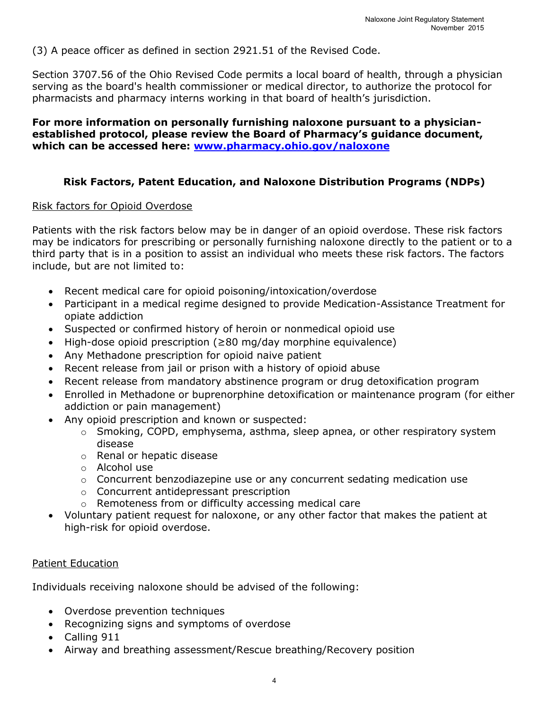(3) A peace officer as defined in section 2921.51 of the Revised Code.

Section 3707.56 of the Ohio Revised Code permits a local board of health, through a physician serving as the board's health commissioner or medical director, to authorize the protocol for pharmacists and pharmacy interns working in that board of health's jurisdiction.

## **For more information on personally furnishing naloxone pursuant to a physicianestablished protocol, please review the Board of Pharmacy's guidance document, which can be accessed here: [www.pharmacy.ohio.gov/naloxone](http://www.pharmacy.ohio.gov/naloxone)**

# **Risk Factors, Patent Education, and Naloxone Distribution Programs (NDPs)**

#### Risk factors for Opioid Overdose

Patients with the risk factors below may be in danger of an opioid overdose. These risk factors may be indicators for prescribing or personally furnishing naloxone directly to the patient or to a third party that is in a position to assist an individual who meets these risk factors. The factors include, but are not limited to:

- Recent medical care for opioid poisoning/intoxication/overdose
- Participant in a medical regime designed to provide Medication-Assistance Treatment for opiate addiction
- Suspected or confirmed history of heroin or nonmedical opioid use
- High-dose opioid prescription (≥80 mg/day morphine equivalence)
- Any Methadone prescription for opioid naive patient
- Recent release from jail or prison with a history of opioid abuse
- Recent release from mandatory abstinence program or drug detoxification program
- Enrolled in Methadone or buprenorphine detoxification or maintenance program (for either addiction or pain management)
- Any opioid prescription and known or suspected:
	- o Smoking, COPD, emphysema, asthma, sleep apnea, or other respiratory system disease
	- o Renal or hepatic disease
	- o Alcohol use
	- $\circ$  Concurrent benzodiazepine use or any concurrent sedating medication use
	- o Concurrent antidepressant prescription
	- o Remoteness from or difficulty accessing medical care
- Voluntary patient request for naloxone, or any other factor that makes the patient at high-risk for opioid overdose.

## Patient Education

Individuals receiving naloxone should be advised of the following:

- Overdose prevention techniques
- Recognizing signs and symptoms of overdose
- Calling 911
- Airway and breathing assessment/Rescue breathing/Recovery position